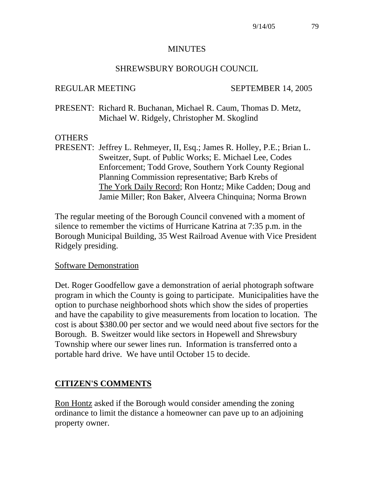#### **MINUTES**

#### SHREWSBURY BOROUGH COUNCIL

#### REGULAR MEETING SEPTEMBER 14, 2005

PRESENT: Richard R. Buchanan, Michael R. Caum, Thomas D. Metz, Michael W. Ridgely, Christopher M. Skoglind

#### **OTHERS**

PRESENT: Jeffrey L. Rehmeyer, II, Esq.; James R. Holley, P.E.; Brian L. Sweitzer, Supt. of Public Works; E. Michael Lee, Codes Enforcement; Todd Grove, Southern York County Regional Planning Commission representative; Barb Krebs of The York Daily Record; Ron Hontz; Mike Cadden; Doug and Jamie Miller; Ron Baker, Alveera Chinquina; Norma Brown

The regular meeting of the Borough Council convened with a moment of silence to remember the victims of Hurricane Katrina at 7:35 p.m. in the Borough Municipal Building, 35 West Railroad Avenue with Vice President Ridgely presiding.

#### Software Demonstration

Det. Roger Goodfellow gave a demonstration of aerial photograph software program in which the County is going to participate. Municipalities have the option to purchase neighborhood shots which show the sides of properties and have the capability to give measurements from location to location. The cost is about \$380.00 per sector and we would need about five sectors for the Borough. B. Sweitzer would like sectors in Hopewell and Shrewsbury Township where our sewer lines run. Information is transferred onto a portable hard drive. We have until October 15 to decide.

### **CITIZEN'S COMMENTS**

Ron Hontz asked if the Borough would consider amending the zoning ordinance to limit the distance a homeowner can pave up to an adjoining property owner.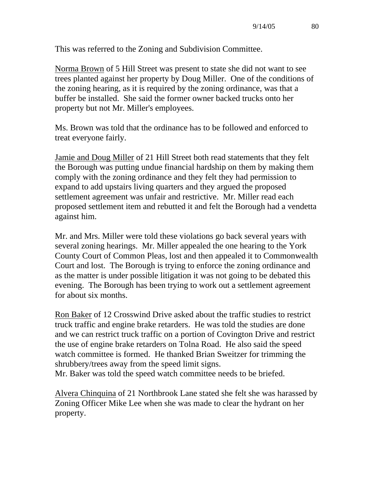This was referred to the Zoning and Subdivision Committee.

Norma Brown of 5 Hill Street was present to state she did not want to see trees planted against her property by Doug Miller. One of the conditions of the zoning hearing, as it is required by the zoning ordinance, was that a buffer be installed. She said the former owner backed trucks onto her property but not Mr. Miller's employees.

Ms. Brown was told that the ordinance has to be followed and enforced to treat everyone fairly.

Jamie and Doug Miller of 21 Hill Street both read statements that they felt the Borough was putting undue financial hardship on them by making them comply with the zoning ordinance and they felt they had permission to expand to add upstairs living quarters and they argued the proposed settlement agreement was unfair and restrictive. Mr. Miller read each proposed settlement item and rebutted it and felt the Borough had a vendetta against him.

Mr. and Mrs. Miller were told these violations go back several years with several zoning hearings. Mr. Miller appealed the one hearing to the York County Court of Common Pleas, lost and then appealed it to Commonwealth Court and lost. The Borough is trying to enforce the zoning ordinance and as the matter is under possible litigation it was not going to be debated this evening. The Borough has been trying to work out a settlement agreement for about six months.

Ron Baker of 12 Crosswind Drive asked about the traffic studies to restrict truck traffic and engine brake retarders. He was told the studies are done and we can restrict truck traffic on a portion of Covington Drive and restrict the use of engine brake retarders on Tolna Road. He also said the speed watch committee is formed. He thanked Brian Sweitzer for trimming the shrubbery/trees away from the speed limit signs.

Mr. Baker was told the speed watch committee needs to be briefed.

Alvera Chinquina of 21 Northbrook Lane stated she felt she was harassed by Zoning Officer Mike Lee when she was made to clear the hydrant on her property.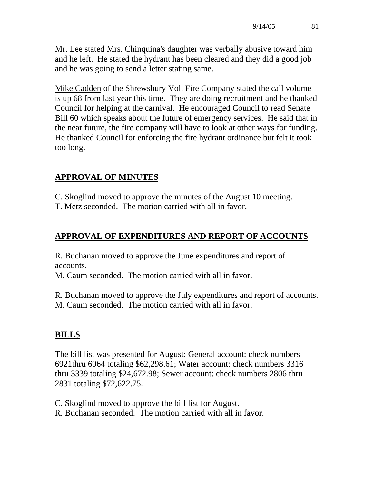Mr. Lee stated Mrs. Chinquina's daughter was verbally abusive toward him and he left. He stated the hydrant has been cleared and they did a good job and he was going to send a letter stating same.

Mike Cadden of the Shrewsbury Vol. Fire Company stated the call volume is up 68 from last year this time. They are doing recruitment and he thanked Council for helping at the carnival. He encouraged Council to read Senate Bill 60 which speaks about the future of emergency services. He said that in the near future, the fire company will have to look at other ways for funding. He thanked Council for enforcing the fire hydrant ordinance but felt it took too long.

# **APPROVAL OF MINUTES**

C. Skoglind moved to approve the minutes of the August 10 meeting.

T. Metz seconded. The motion carried with all in favor.

# **APPROVAL OF EXPENDITURES AND REPORT OF ACCOUNTS**

R. Buchanan moved to approve the June expenditures and report of accounts.

M. Caum seconded. The motion carried with all in favor.

R. Buchanan moved to approve the July expenditures and report of accounts. M. Caum seconded. The motion carried with all in favor.

# **BILLS**

The bill list was presented for August: General account: check numbers 6921thru 6964 totaling \$62,298.61; Water account: check numbers 3316 thru 3339 totaling \$24,672.98; Sewer account: check numbers 2806 thru 2831 totaling \$72,622.75.

C. Skoglind moved to approve the bill list for August.

R. Buchanan seconded. The motion carried with all in favor.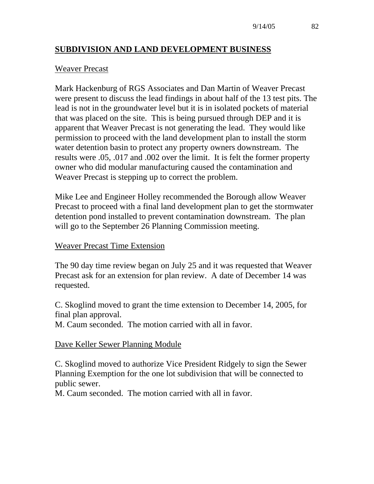### **SUBDIVISION AND LAND DEVELOPMENT BUSINESS**

#### Weaver Precast

Mark Hackenburg of RGS Associates and Dan Martin of Weaver Precast were present to discuss the lead findings in about half of the 13 test pits. The lead is not in the groundwater level but it is in isolated pockets of material that was placed on the site. This is being pursued through DEP and it is apparent that Weaver Precast is not generating the lead. They would like permission to proceed with the land development plan to install the storm water detention basin to protect any property owners downstream. The results were .05, .017 and .002 over the limit. It is felt the former property owner who did modular manufacturing caused the contamination and Weaver Precast is stepping up to correct the problem.

Mike Lee and Engineer Holley recommended the Borough allow Weaver Precast to proceed with a final land development plan to get the stormwater detention pond installed to prevent contamination downstream. The plan will go to the September 26 Planning Commission meeting.

#### Weaver Precast Time Extension

The 90 day time review began on July 25 and it was requested that Weaver Precast ask for an extension for plan review. A date of December 14 was requested.

C. Skoglind moved to grant the time extension to December 14, 2005, for final plan approval.

M. Caum seconded. The motion carried with all in favor.

#### Dave Keller Sewer Planning Module

C. Skoglind moved to authorize Vice President Ridgely to sign the Sewer Planning Exemption for the one lot subdivision that will be connected to public sewer.

M. Caum seconded. The motion carried with all in favor.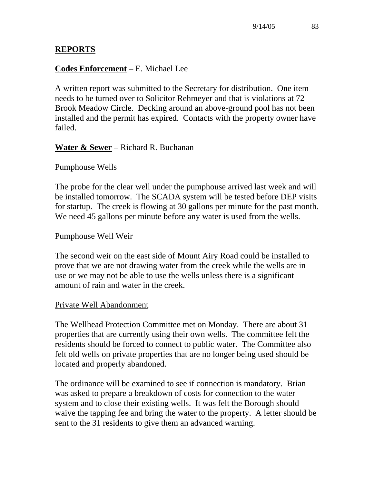## **REPORTS**

### **Codes Enforcement** – E. Michael Lee

A written report was submitted to the Secretary for distribution. One item needs to be turned over to Solicitor Rehmeyer and that is violations at 72 Brook Meadow Circle. Decking around an above-ground pool has not been installed and the permit has expired. Contacts with the property owner have failed.

### **Water & Sewer** – Richard R. Buchanan

#### Pumphouse Wells

The probe for the clear well under the pumphouse arrived last week and will be installed tomorrow. The SCADA system will be tested before DEP visits for startup. The creek is flowing at 30 gallons per minute for the past month. We need 45 gallons per minute before any water is used from the wells.

#### Pumphouse Well Weir

The second weir on the east side of Mount Airy Road could be installed to prove that we are not drawing water from the creek while the wells are in use or we may not be able to use the wells unless there is a significant amount of rain and water in the creek.

#### Private Well Abandonment

The Wellhead Protection Committee met on Monday. There are about 31 properties that are currently using their own wells. The committee felt the residents should be forced to connect to public water. The Committee also felt old wells on private properties that are no longer being used should be located and properly abandoned.

The ordinance will be examined to see if connection is mandatory. Brian was asked to prepare a breakdown of costs for connection to the water system and to close their existing wells. It was felt the Borough should waive the tapping fee and bring the water to the property. A letter should be sent to the 31 residents to give them an advanced warning.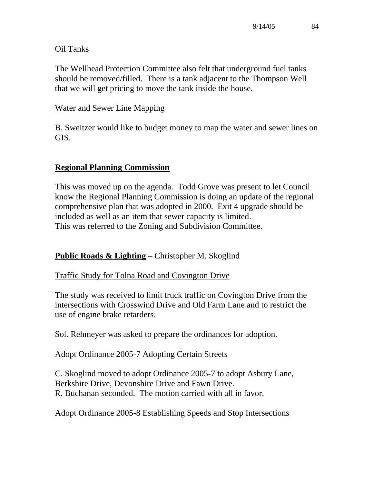### Oil Tanks

The Wellhead Protection Committee also felt that underground fuel tanks should be removed/filled. There is a tank adjacent to the Thompson Well that we will get pricing to move the tank inside the house.

#### Water and Sewer Line Mapping

B. Sweitzer would like to budget money to map the water and sewer lines on GIS.

### **Regional Planning Commission**

This was moved up on the agenda. Todd Grove was present to let Council know the Regional Planning Commission is doing an update of the regional comprehensive plan that was adopted in 2000. Exit 4 upgrade should be included as well as an item that sewer capacity is limited. This was referred to the Zoning and Subdivision Committee.

### **Public Roads & Lighting** – Christopher M. Skoglind

#### Traffic Study for Tolna Road and Covington Drive

The study was received to limit truck traffic on Covington Drive from the intersections with Crosswind Drive and Old Farm Lane and to restrict the use of engine brake retarders.

Sol. Rehmeyer was asked to prepare the ordinances for adoption.

### Adopt Ordinance 2005-7 Adopting Certain Streets

C. Skoglind moved to adopt Ordinance 2005-7 to adopt Asbury Lane, Berkshire Drive, Devonshire Drive and Fawn Drive. R. Buchanan seconded. The motion carried with all in favor.

### Adopt Ordinance 2005-8 Establishing Speeds and Stop Intersections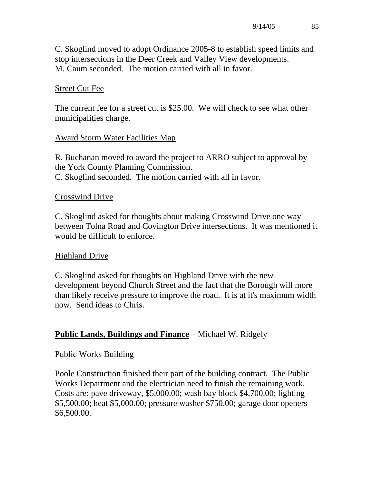C. Skoglind moved to adopt Ordinance 2005-8 to establish speed limits and stop intersections in the Deer Creek and Valley View developments. M. Caum seconded. The motion carried with all in favor.

## Street Cut Fee

The current fee for a street cut is \$25.00. We will check to see what other municipalities charge.

### Award Storm Water Facilities Map

R. Buchanan moved to award the project to ARRO subject to approval by the York County Planning Commission. C. Skoglind seconded. The motion carried with all in favor.

#### Crosswind Drive

C. Skoglind asked for thoughts about making Crosswind Drive one way between Tolna Road and Covington Drive intersections. It was mentioned it would be difficult to enforce.

### Highland Drive

C. Skoglind asked for thoughts on Highland Drive with the new development beyond Church Street and the fact that the Borough will more than likely receive pressure to improve the road. It is at it's maximum width now. Send ideas to Chris.

### **Public Lands, Buildings and Finance** – Michael W. Ridgely

#### Public Works Building

Poole Construction finished their part of the building contract. The Public Works Department and the electrician need to finish the remaining work. Costs are: pave driveway, \$5,000.00; wash bay block \$4,700.00; lighting \$5,500.00; heat \$5,000.00; pressure washer \$750.00; garage door openers \$6,500.00.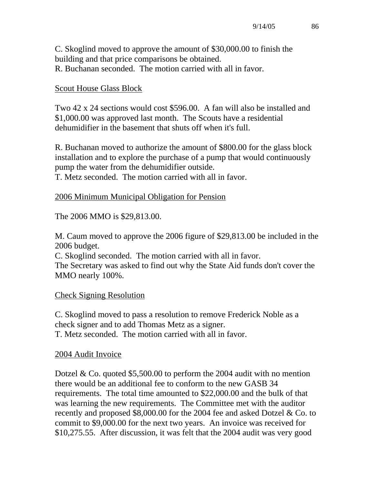C. Skoglind moved to approve the amount of \$30,000.00 to finish the building and that price comparisons be obtained. R. Buchanan seconded. The motion carried with all in favor.

### Scout House Glass Block

Two 42 x 24 sections would cost \$596.00. A fan will also be installed and \$1,000.00 was approved last month. The Scouts have a residential dehumidifier in the basement that shuts off when it's full.

R. Buchanan moved to authorize the amount of \$800.00 for the glass block installation and to explore the purchase of a pump that would continuously pump the water from the dehumidifier outside.

T. Metz seconded. The motion carried with all in favor.

### 2006 Minimum Municipal Obligation for Pension

The 2006 MMO is \$29,813.00.

M. Caum moved to approve the 2006 figure of \$29,813.00 be included in the 2006 budget.

C. Skoglind seconded. The motion carried with all in favor. The Secretary was asked to find out why the State Aid funds don't cover the MMO nearly 100%.

# Check Signing Resolution

C. Skoglind moved to pass a resolution to remove Frederick Noble as a check signer and to add Thomas Metz as a signer. T. Metz seconded. The motion carried with all in favor.

### 2004 Audit Invoice

Dotzel & Co. quoted \$5,500.00 to perform the 2004 audit with no mention there would be an additional fee to conform to the new GASB 34 requirements. The total time amounted to \$22,000.00 and the bulk of that was learning the new requirements. The Committee met with the auditor recently and proposed \$8,000.00 for the 2004 fee and asked Dotzel & Co. to commit to \$9,000.00 for the next two years. An invoice was received for \$10,275.55. After discussion, it was felt that the 2004 audit was very good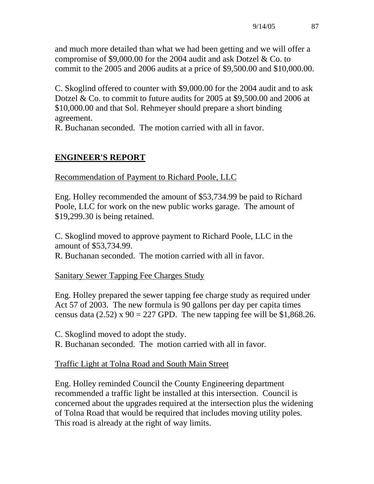and much more detailed than what we had been getting and we will offer a compromise of \$9,000.00 for the 2004 audit and ask Dotzel & Co. to commit to the 2005 and 2006 audits at a price of \$9,500.00 and \$10,000.00.

C. Skoglind offered to counter with \$9,000.00 for the 2004 audit and to ask Dotzel & Co. to commit to future audits for 2005 at \$9,500.00 and 2006 at \$10,000.00 and that Sol. Rehmeyer should prepare a short binding agreement.

R. Buchanan seconded. The motion carried with all in favor.

# **ENGINEER'S REPORT**

Recommendation of Payment to Richard Poole, LLC

Eng. Holley recommended the amount of \$53,734.99 be paid to Richard Poole, LLC for work on the new public works garage. The amount of \$19,299.30 is being retained.

C. Skoglind moved to approve payment to Richard Poole, LLC in the amount of \$53,734.99.

R. Buchanan seconded. The motion carried with all in favor.

Sanitary Sewer Tapping Fee Charges Study

Eng. Holley prepared the sewer tapping fee charge study as required under Act 57 of 2003. The new formula is 90 gallons per day per capita times census data (2.52) x  $90 = 227$  GPD. The new tapping fee will be \$1,868.26.

C. Skoglind moved to adopt the study.

R. Buchanan seconded. The motion carried with all in favor.

# Traffic Light at Tolna Road and South Main Street

Eng. Holley reminded Council the County Engineering department recommended a traffic light be installed at this intersection. Council is concerned about the upgrades required at the intersection plus the widening of Tolna Road that would be required that includes moving utility poles. This road is already at the right of way limits.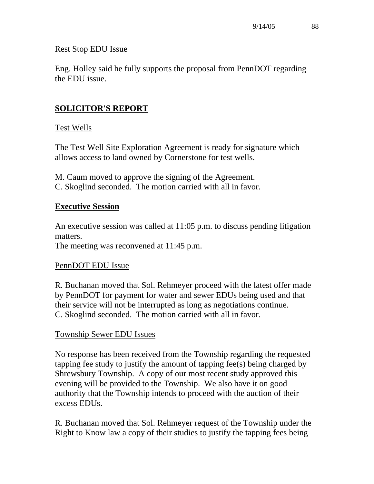### Rest Stop EDU Issue

Eng. Holley said he fully supports the proposal from PennDOT regarding the EDU issue.

# **SOLICITOR'S REPORT**

### Test Wells

The Test Well Site Exploration Agreement is ready for signature which allows access to land owned by Cornerstone for test wells.

M. Caum moved to approve the signing of the Agreement.

C. Skoglind seconded. The motion carried with all in favor.

### **Executive Session**

An executive session was called at 11:05 p.m. to discuss pending litigation matters.

The meeting was reconvened at 11:45 p.m.

### PennDOT EDU Issue

R. Buchanan moved that Sol. Rehmeyer proceed with the latest offer made by PennDOT for payment for water and sewer EDUs being used and that their service will not be interrupted as long as negotiations continue. C. Skoglind seconded. The motion carried with all in favor.

### Township Sewer EDU Issues

No response has been received from the Township regarding the requested tapping fee study to justify the amount of tapping fee(s) being charged by Shrewsbury Township. A copy of our most recent study approved this evening will be provided to the Township. We also have it on good authority that the Township intends to proceed with the auction of their excess EDUs.

R. Buchanan moved that Sol. Rehmeyer request of the Township under the Right to Know law a copy of their studies to justify the tapping fees being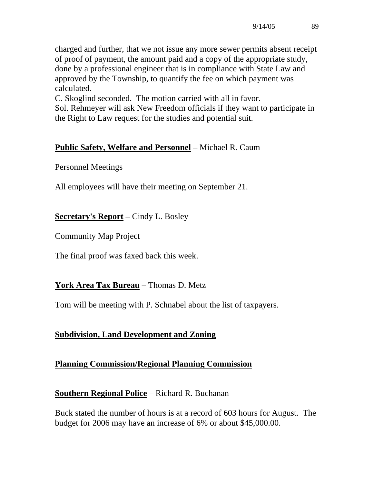charged and further, that we not issue any more sewer permits absent receipt of proof of payment, the amount paid and a copy of the appropriate study, done by a professional engineer that is in compliance with State Law and approved by the Township, to quantify the fee on which payment was calculated.

C. Skoglind seconded. The motion carried with all in favor.

Sol. Rehmeyer will ask New Freedom officials if they want to participate in the Right to Law request for the studies and potential suit.

# **Public Safety, Welfare and Personnel** – Michael R. Caum

### Personnel Meetings

All employees will have their meeting on September 21.

**Secretary's Report** – Cindy L. Bosley

### Community Map Project

The final proof was faxed back this week.

# **York Area Tax Bureau** – Thomas D. Metz

Tom will be meeting with P. Schnabel about the list of taxpayers.

# **Subdivision, Land Development and Zoning**

# **Planning Commission/Regional Planning Commission**

# **Southern Regional Police** – Richard R. Buchanan

Buck stated the number of hours is at a record of 603 hours for August. The budget for 2006 may have an increase of 6% or about \$45,000.00.